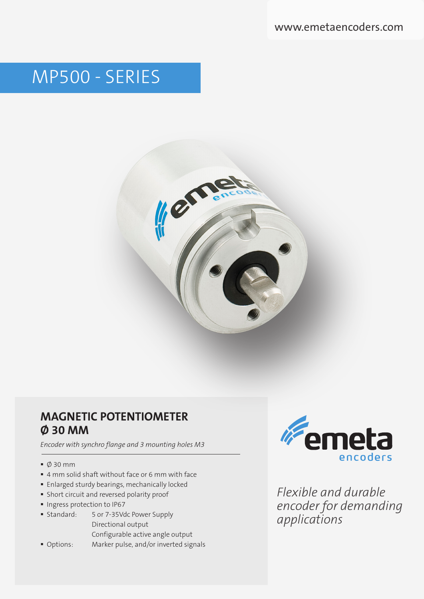www.emetaencoders.com

# MP500 - SERIES



### **MAGNETIC POTENTIOMETER Ø 30 MM**

*Encoder with synchro flange and 3 mounting holes M3*

- $\bullet$  0 30 mm
- 4 mm solid shaft without face or 6 mm with face
- **Enlarged sturdy bearings, mechanically locked**
- Short circuit and reversed polarity proof
- **Ingress protection to IP67**
- **Standard:** 5 or 7-35Vdc Power Supply Directional output Configurable active angle output
- Options: Marker pulse, and/or inverted signals



*Flexible and durable encoder for demanding applications*